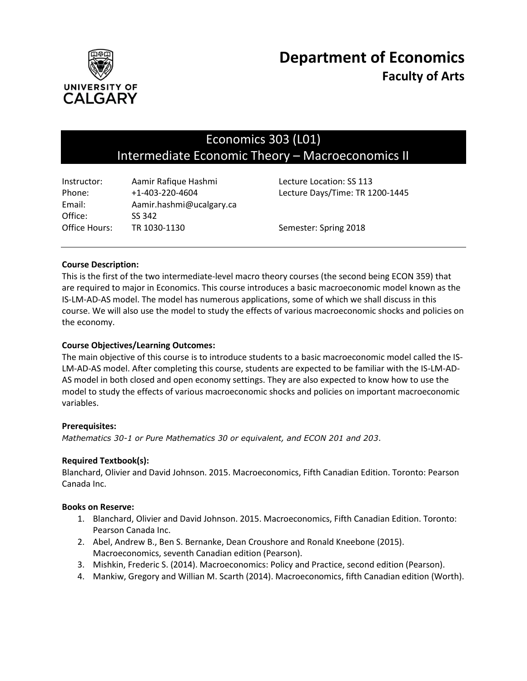

# Economics 303 (L01) Intermediate Economic Theory – Macroeconomics II

| Instructor:   | Aamir Rafique Hashmi     | Lecture Location: SS 113        |
|---------------|--------------------------|---------------------------------|
| Phone:        | $+1 - 403 - 220 - 4604$  | Lecture Days/Time: TR 1200-1445 |
| Email:        | Aamir.hashmi@ucalgary.ca |                                 |
| Office:       | SS 342                   |                                 |
| Office Hours: | TR 1030-1130             | Semester: Spring 2018           |

## **Course Description:**

This is the first of the two intermediate-level macro theory courses (the second being ECON 359) that are required to major in Economics. This course introduces a basic macroeconomic model known as the IS-LM-AD-AS model. The model has numerous applications, some of which we shall discuss in this course. We will also use the model to study the effects of various macroeconomic shocks and policies on the economy.

## **Course Objectives/Learning Outcomes:**

The main objective of this course is to introduce students to a basic macroeconomic model called the IS-LM-AD-AS model. After completing this course, students are expected to be familiar with the IS-LM-AD-AS model in both closed and open economy settings. They are also expected to know how to use the model to study the effects of various macroeconomic shocks and policies on important macroeconomic variables.

#### **Prerequisites:**

*Mathematics 30-1 or Pure Mathematics 30 or equivalent, and ECON 201 and 203*.

#### **Required Textbook(s):**

Blanchard, Olivier and David Johnson. 2015. Macroeconomics, Fifth Canadian Edition. Toronto: Pearson Canada Inc.

#### **Books on Reserve:**

- 1. Blanchard, Olivier and David Johnson. 2015. Macroeconomics, Fifth Canadian Edition. Toronto: Pearson Canada Inc.
- 2. Abel, Andrew B., Ben S. Bernanke, Dean Croushore and Ronald Kneebone (2015). Macroeconomics, seventh Canadian edition (Pearson).
- 3. Mishkin, Frederic S. (2014). Macroeconomics: Policy and Practice, second edition (Pearson).
- 4. Mankiw, Gregory and Willian M. Scarth (2014). Macroeconomics, fifth Canadian edition (Worth).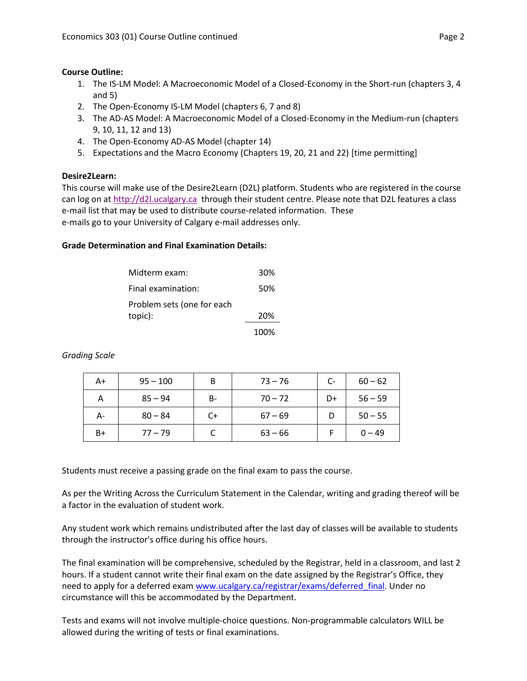## **Course Outline:**

- 1. The IS-LM Model: A Macroeconomic Model of a Closed-Economy in the Short-run (chapters 3, 4 and 5)
- 2. The Open-Economy IS-LM Model (chapters 6, 7 and 8)
- 3. The AD-AS Model: A Macroeconomic Model of a Closed-Economy in the Medium-run (chapters 9, 10, 11, 12 and 13)
- 4. The Open-Economy AD-AS Model (chapter 14)
- 5. Expectations and the Macro Economy (Chapters 19, 20, 21 and 22) [time permitting]

# **Desire2Learn:**

This course will make use of the Desire2Learn (D2L) platform. Students who are registered in the course can log on a[t http://d2l.ucalgary.ca](http://d2l.ucalgary.ca/) through their student centre. Please note that D2L features a class e-mail list that may be used to distribute course-related information. These e-mails go to your University of Calgary e-mail addresses only.

# **Grade Determination and Final Examination Details:**

| Midterm exam:              | 30%  |
|----------------------------|------|
| Final examination:         | 50%  |
| Problem sets (one for each |      |
| topic):                    | 20%  |
|                            | 100% |

*Grading Scale*

| A+ | $95 - 100$ | B     | $73 - 76$ | $C-$ | $60 - 62$ |
|----|------------|-------|-----------|------|-----------|
| А  | $85 - 94$  | $B -$ | $70 - 72$ | D+   | $56 - 59$ |
| А- | $80 - 84$  | C+    | $67 - 69$ |      | $50 - 55$ |
| B+ | $77 - 79$  |       | $63 - 66$ |      | $0 - 49$  |

Students must receive a passing grade on the final exam to pass the course.

As per the Writing Across the Curriculum Statement in the Calendar, writing and grading thereof will be a factor in the evaluation of student work.

Any student work which remains undistributed after the last day of classes will be available to students through the instructor's office during his office hours.

The final examination will be comprehensive, scheduled by the Registrar, held in a classroom, and last 2 hours. If a student cannot write their final exam on the date assigned by the Registrar's Office, they need to apply for a deferred exam www.ucalgary.ca/registrar/exams/deferred final. Under no circumstance will this be accommodated by the Department.

Tests and exams will not involve multiple-choice questions. Non-programmable calculators WILL be allowed during the writing of tests or final examinations.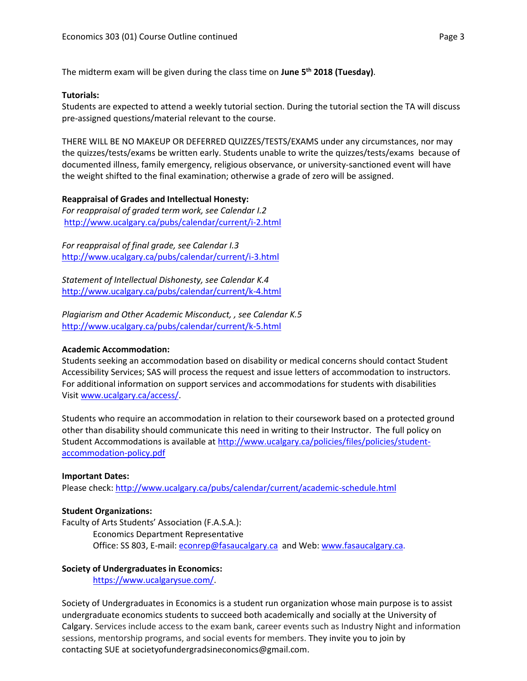The midterm exam will be given during the class time on **June 5 th 2018 (Tuesday)**.

#### **Tutorials:**

Students are expected to attend a weekly tutorial section. During the tutorial section the TA will discuss pre-assigned questions/material relevant to the course.

THERE WILL BE NO MAKEUP OR DEFERRED QUIZZES/TESTS/EXAMS under any circumstances, nor may the quizzes/tests/exams be written early. Students unable to write the quizzes/tests/exams because of documented illness, family emergency, religious observance, or university-sanctioned event will have the weight shifted to the final examination; otherwise a grade of zero will be assigned.

#### **Reappraisal of Grades and Intellectual Honesty:**

*For reappraisal of graded term work, see Calendar I.2* <http://www.ucalgary.ca/pubs/calendar/current/i-2.html>

*For reappraisal of final grade, see Calendar I.3* <http://www.ucalgary.ca/pubs/calendar/current/i-3.html>

*Statement of Intellectual Dishonesty, see Calendar K.4* <http://www.ucalgary.ca/pubs/calendar/current/k-4.html>

*Plagiarism and Other Academic Misconduct, , see Calendar K.5* <http://www.ucalgary.ca/pubs/calendar/current/k-5.html>

#### **Academic Accommodation:**

Students seeking an accommodation based on disability or medical concerns should contact Student Accessibility Services; SAS will process the request and issue letters of accommodation to instructors. For additional information on support services and accommodations for students with disabilities Visit [www.ucalgary.ca/access/.](http://www.ucalgary.ca/access/)

Students who require an accommodation in relation to their coursework based on a protected ground other than disability should communicate this need in writing to their Instructor. The full policy on Student Accommodations is available at [http://www.ucalgary.ca/policies/files/policies/student](http://www.ucalgary.ca/policies/files/policies/student-accommodation-policy.pdf)[accommodation-policy.pdf](http://www.ucalgary.ca/policies/files/policies/student-accommodation-policy.pdf)

#### **Important Dates:**

Please check:<http://www.ucalgary.ca/pubs/calendar/current/academic-schedule.html>

#### **Student Organizations:**

Faculty of Arts Students' Association (F.A.S.A.):

Economics Department Representative Office: SS 803, E-mail: [econrep@fasaucalgary.ca](mailto:econrep@fasaucalgary.ca) and Web[: www.fasaucalgary.ca.](http://www.fasaucalgary.ca/)

#### **Society of Undergraduates in Economics:**

[https://www.ucalgarysue.com/.](https://www.ucalgarysue.com/)

Society of Undergraduates in Economics is a student run organization whose main purpose is to assist undergraduate economics students to succeed both academically and socially at the University of Calgary. Services include access to the exam bank, career events such as Industry Night and information sessions, mentorship programs, and social events for members. They invite you to join by contacting SUE at societyofundergradsineconomics@gmail.com.